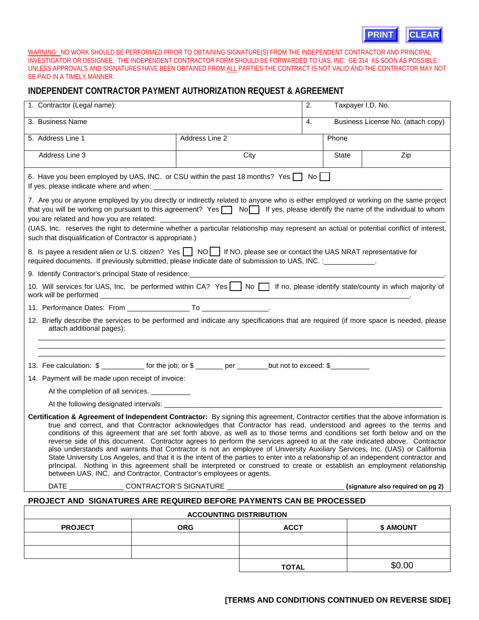

## **INDEPENDENT CONTRACTOR PAYMENT AUTHORIZATION REQUEST & AGREEMENT**

|                                                                                                                                                                                                                                                                                                                                                                                                                                                                                                                                                                                                                                                                                                                                                                                                                                                                                                                                                                                                 |                                                                                                  |              |                                    | <b>CLEAR</b><br><b>PRINT</b> |  |
|-------------------------------------------------------------------------------------------------------------------------------------------------------------------------------------------------------------------------------------------------------------------------------------------------------------------------------------------------------------------------------------------------------------------------------------------------------------------------------------------------------------------------------------------------------------------------------------------------------------------------------------------------------------------------------------------------------------------------------------------------------------------------------------------------------------------------------------------------------------------------------------------------------------------------------------------------------------------------------------------------|--------------------------------------------------------------------------------------------------|--------------|------------------------------------|------------------------------|--|
| WARNING: NO WORK SHOULD BE PERFORMED PRIOR TO OBTAINING SIGNATURE(S) FROM THE INDEPENDENT CONTRACTOR AND PRINCIPAL<br>INVESTIGATOR OR DESIGNEE. THE INDEPENDENT CONTRACTOR FORM SHOULD BE FORWARDED TO UAS, INC. GE 314 AS SOON AS POSSIBLE.<br>UNLESS APPROVALS AND SIGNATURES HAVE BEEN OBTAINED FROM ALL PARTIES THE CONTRACT IS NOT VALID AND THE CONTRACTOR MAY NOT<br>BE PAID IN A TIMELY MANNER.                                                                                                                                                                                                                                                                                                                                                                                                                                                                                                                                                                                         |                                                                                                  |              |                                    |                              |  |
| INDEPENDENT CONTRACTOR PAYMENT AUTHORIZATION REQUEST & AGREEMENT                                                                                                                                                                                                                                                                                                                                                                                                                                                                                                                                                                                                                                                                                                                                                                                                                                                                                                                                |                                                                                                  |              |                                    |                              |  |
| 1. Contractor (Legal name):                                                                                                                                                                                                                                                                                                                                                                                                                                                                                                                                                                                                                                                                                                                                                                                                                                                                                                                                                                     |                                                                                                  |              |                                    | Taxpayer I.D. No.            |  |
| 3. Business Name                                                                                                                                                                                                                                                                                                                                                                                                                                                                                                                                                                                                                                                                                                                                                                                                                                                                                                                                                                                |                                                                                                  | 4.           | Business License No. (attach copy) |                              |  |
| 5. Address Line 1                                                                                                                                                                                                                                                                                                                                                                                                                                                                                                                                                                                                                                                                                                                                                                                                                                                                                                                                                                               | Address Line 2                                                                                   |              | Phone                              |                              |  |
| Address Line 3                                                                                                                                                                                                                                                                                                                                                                                                                                                                                                                                                                                                                                                                                                                                                                                                                                                                                                                                                                                  |                                                                                                  | City         | State                              | Zip                          |  |
| 6. Have you been employed by UAS, INC. or CSU within the past 18 months? Yes   No                                                                                                                                                                                                                                                                                                                                                                                                                                                                                                                                                                                                                                                                                                                                                                                                                                                                                                               |                                                                                                  |              |                                    |                              |  |
| 7. Are you or anyone employed by you directly or indirectly related to anyone who is either employed or working on the same project<br>that you will be working on pursuant to this agreement? Yes \\ No\\ If yes, please identify the name of the individual to whom<br>(UAS, Inc. reserves the right to determine whether a particular relationship may represent an actual or potential conflict of interest,<br>such that disqualification of Contractor is appropriate.)                                                                                                                                                                                                                                                                                                                                                                                                                                                                                                                   |                                                                                                  |              |                                    |                              |  |
| 8. Is payee a resident alien or U.S. citizen? Yes \Res \Resumed\, NO\, please see or contact the UAS NRAT representative for<br>required documents. If previously submitted, please indicate date of submission to UAS, INC. : ______________.                                                                                                                                                                                                                                                                                                                                                                                                                                                                                                                                                                                                                                                                                                                                                  |                                                                                                  |              |                                    |                              |  |
|                                                                                                                                                                                                                                                                                                                                                                                                                                                                                                                                                                                                                                                                                                                                                                                                                                                                                                                                                                                                 |                                                                                                  |              |                                    |                              |  |
| 10. Will services for UAS, Inc. be performed within CA? Yes \Rightarrow If no, please identify state/county in which majority of                                                                                                                                                                                                                                                                                                                                                                                                                                                                                                                                                                                                                                                                                                                                                                                                                                                                |                                                                                                  |              |                                    |                              |  |
|                                                                                                                                                                                                                                                                                                                                                                                                                                                                                                                                                                                                                                                                                                                                                                                                                                                                                                                                                                                                 |                                                                                                  |              |                                    |                              |  |
| 12. Briefly describe the services to be performed and indicate any specifications that are required (if more space is needed, please<br>attach additional pages):                                                                                                                                                                                                                                                                                                                                                                                                                                                                                                                                                                                                                                                                                                                                                                                                                               |                                                                                                  |              |                                    |                              |  |
|                                                                                                                                                                                                                                                                                                                                                                                                                                                                                                                                                                                                                                                                                                                                                                                                                                                                                                                                                                                                 |                                                                                                  |              |                                    |                              |  |
|                                                                                                                                                                                                                                                                                                                                                                                                                                                                                                                                                                                                                                                                                                                                                                                                                                                                                                                                                                                                 | 13. Fee calculation: \$ ____________ for the job; or \$ _______ per _______but not to exceed: \$ |              |                                    |                              |  |
| 14. Payment will be made upon receipt of invoice:                                                                                                                                                                                                                                                                                                                                                                                                                                                                                                                                                                                                                                                                                                                                                                                                                                                                                                                                               |                                                                                                  |              |                                    |                              |  |
| At the completion of all services.<br>At the following designated intervals:                                                                                                                                                                                                                                                                                                                                                                                                                                                                                                                                                                                                                                                                                                                                                                                                                                                                                                                    |                                                                                                  |              |                                    |                              |  |
| Certification & Agreement of Independent Contractor: By signing this agreement, Contractor certifies that the above information is<br>true and correct, and that Contractor acknowledges that Contractor has read, understood and agrees to the terms and<br>conditions of this agreement that are set forth above, as well as to those terms and conditions set forth below and on the<br>reverse side of this document. Contractor agrees to perform the services agreed to at the rate indicated above. Contractor<br>also understands and warrants that Contractor is not an employee of University Auxiliary Services, Inc. (UAS) or California<br>State University Los Angeles, and that it is the intent of the parties to enter into a relationship of an independent contractor and<br>prIncipal. Nothing in this agreement shall be interpreted or construed to create or establish an employment relationship<br>between UAS, INC. and Contractor, Contractor's employees or agents. |                                                                                                  |              |                                    |                              |  |
| DATE __________________CONTRACTOR'S SIGNATURE __________________________________<br>(signature also required on pg 2)                                                                                                                                                                                                                                                                                                                                                                                                                                                                                                                                                                                                                                                                                                                                                                                                                                                                           |                                                                                                  |              |                                    |                              |  |
| PROJECT AND SIGNATURES ARE REQUIRED BEFORE PAYMENTS CAN BE PROCESSED                                                                                                                                                                                                                                                                                                                                                                                                                                                                                                                                                                                                                                                                                                                                                                                                                                                                                                                            |                                                                                                  |              |                                    |                              |  |
|                                                                                                                                                                                                                                                                                                                                                                                                                                                                                                                                                                                                                                                                                                                                                                                                                                                                                                                                                                                                 | <b>ACCOUNTING DISTRIBUTION</b>                                                                   |              |                                    |                              |  |
| <b>PROJECT</b>                                                                                                                                                                                                                                                                                                                                                                                                                                                                                                                                                                                                                                                                                                                                                                                                                                                                                                                                                                                  | <b>ORG</b>                                                                                       | <b>ACCT</b>  |                                    | \$ AMOUNT                    |  |
|                                                                                                                                                                                                                                                                                                                                                                                                                                                                                                                                                                                                                                                                                                                                                                                                                                                                                                                                                                                                 |                                                                                                  |              |                                    |                              |  |
|                                                                                                                                                                                                                                                                                                                                                                                                                                                                                                                                                                                                                                                                                                                                                                                                                                                                                                                                                                                                 |                                                                                                  | <b>TOTAL</b> |                                    | \$0.00                       |  |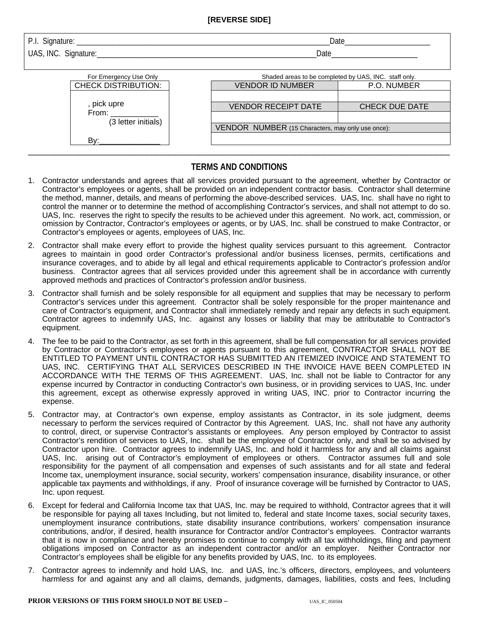## **[REVERSE SIDE]**

| $\sim$<br>ature <sup>.</sup><br>sian.<br>ັ<br>$\tilde{\phantom{a}}$<br>.<br>_____<br>. | Date |
|----------------------------------------------------------------------------------------|------|
|                                                                                        |      |

UAS, INC. Signature: <u>and the set of the set of the set of the set of the set of the set of the set of the set of the set of the set of the set of the set of the set of the set of the set of the set of the set of the set o</u>

|                                                   | Shaded areas to be completed by UAS, INC. staff only. |  |  |
|---------------------------------------------------|-------------------------------------------------------|--|--|
| <b>VENDOR ID NUMBER</b>                           | P.O. NUMBER                                           |  |  |
|                                                   |                                                       |  |  |
| <b>VENDOR RECEIPT DATE</b>                        | <b>CHECK DUE DATE</b>                                 |  |  |
|                                                   |                                                       |  |  |
| VENDOR NUMBER (15 Characters, may only use once): |                                                       |  |  |
|                                                   |                                                       |  |  |
|                                                   |                                                       |  |  |

## **\*\*\*\*\*\*\*\*\*\*\*\*\*\*\*\*\*\*\*\*\*\*\*\*\*\*\*\*\*\*\*\*\*\*\*\*\*\*\*\*\*\*\*\*\*\*\*\*\*\*\*\*\*\*\*\*\*\*\*\*\*\*\*\*\*\*\*\*\*\*\*\*\*\*\*\*\*\*\*\*\*\*\*\*\*\*\*\*\*\*\*\*\*\*\*\*\*\*\*\*\*\*\*\*\*\*\*\*\*\*\*\*\*\*\*\*\*\*\*\*\*\*\*\*\*\*\*\*\*\*\*\*\*\*\*\*\*\*\*\*\*\*\*\*\*\*\*\*\*\*\*\*\*\*\*\*\*\*\*\*\*\*\*\*\*\*\*\*\*\*\*\*\*\*\*\*\*\*\*\*\*\*\*\*\*\*\*\*\*\*\*\*\*\*\*\*\*\*\*\*\*\*\*\*\*\*\*\*\*\*\*\*\*\*\*\*\*\*\*\*\*\*\*\*\*\*\*\*\*\*\*\*\*\*\*\*\*\*\*\*\*\*\*\*\*\*\*\*\*\*\*\*\*\*\*\*\*\*\*\*\*\*\*\*\*\*\*\*\*\*\*\*\*\*\*\*\*\*\*\*\*\*\*\*\*\*\*\*\*\*\*\*\*\*\*\*\*\*\*\*\*\*\*\*\*\*\*\*\*\*\*\*\*\*\*\*\*\*\*\*\*\*\*\*\*\*\*\*\*\*\*\*\*\*\*\*\*\*\*\*\*\*\*\*\*\*\*\*\*\*\*\*\*\*\*\*\*\*\*\*\*\*\*\*\*\*\*\*\*\*\*\*\*\*\*\*\*\*\*\*\*\*\*\*\*\*\*\*\*\*\*\*\*\*\*\*\*\*\*\*\*\*\*\*\*\*\*\*\*\*\*\*\*\*\*\*\*\*\*\*\*\*\* TERMS AND CONDITIONS**

- 1. Contractor understands and agrees that all services provided pursuant to the agreement, whether by Contractor or Contractor's employees or agents, shall be provided on an independent contractor basis. Contractor shall determine the method, manner, details, and means of performing the above-described services. UAS, Inc. shall have no right to control the manner or to determine the method of accomplishing Contractor's services, and shall not attempt to do so. UAS, Inc. reserves the right to specify the results to be achieved under this agreement. No work, act, commission, or omission by Contractor, Contractor's employees or agents, or by UAS, Inc. shall be construed to make Contractor, or Contractor's employees or agents, employees of UAS, Inc.
- 2. Contractor shall make every effort to provide the highest quality services pursuant to this agreement. Contractor agrees to maintain in good order Contractor's professional and/or business licenses, permits, certifications and insurance coverages, and to abide by all legal and ethical requirements applicable to Contractor's profession and/or business. Contractor agrees that all services provided under this agreement shall be in accordance with currently approved methods and practices of Contractor's profession and/or business.
- 3. Contractor shall furnish and be solely responsible for all equipment and supplies that may be necessary to perform Contractor's services under this agreement. Contractor shall be solely responsible for the proper maintenance and care of Contractor's equipment, and Contractor shall immediately remedy and repair any defects in such equipment. Contractor agrees to indemnify UAS, Inc. against any losses or liability that may be attributable to Contractor's equipment.
- 4. The fee to be paid to the Contractor, as set forth in this agreement, shall be full compensation for all services provided by Contractor or Contractor's employees or agents pursuant to this agreement, CONTRACTOR SHALL NOT BE ENTITLED TO PAYMENT UNTIL CONTRACTOR HAS SUBMITTED AN ITEMIZED INVOICE AND STATEMENT TO UAS, INC. CERTIFYING THAT ALL SERVICES DESCRIBED IN THE INVOICE HAVE BEEN COMPLETED IN ACCORDANCE WITH THE TERMS OF THIS AGREEMENT. UAS, Inc. shall not be liable to Contractor for any expense incurred by Contractor in conducting Contractor's own business, or in providing services to UAS, Inc. under this agreement, except as otherwise expressly approved in writing UAS, INC. prior to Contractor incurring the expense.
- 5. Contractor may, at Contractor's own expense, employ assistants as Contractor, in its sole judgment, deems necessary to perform the services required of Contractor by this Agreement. UAS, Inc. shall not have any authority to control, direct, or supervise Contractor's assistants or employees. Any person employed by Contractor to assist Contractor's rendition of services to UAS, Inc. shall be the employee of Contractor only, and shall be so advised by Contractor upon hire. Contractor agrees to indemnify UAS, Inc. and hold it harmless for any and all claims against UAS, Inc. arising out of Contractor's employment of employees or others. Contractor assumes full and sole responsibility for the payment of all compensation and expenses of such assistants and for all state and federal Income tax, unemployment insurance, social security, workers' compensation insurance, disability insurance, or other applicable tax payments and withholdings, if any. Proof of insurance coverage will be furnished by Contractor to UAS, Inc. upon request.
- 6. Except for federal and California Income tax that UAS, Inc. may be required to withhold, Contractor agrees that it will be responsible for paying all taxes Including, but not limited to, federal and state Income taxes, social security taxes, unemployment insurance contributions, state disability insurance contributions, workers' compensation insurance contributions, and/or, if desired, health insurance for Contractor and/or Contractor's employees. Contractor warrants that it is now in compliance and hereby promises to continue to comply with all tax withholdings, filing and payment obligations imposed on Contractor as an independent contractor and/or an employer. Neither Contractor nor Contractor's employees shall be eligible for any benefits provided by UAS, Inc. to its employees.
- 7. Contractor agrees to indemnify and hold UAS, Inc. and UAS, Inc.'s officers, directors, employees, and volunteers harmless for and against any and all claims, demands, judgments, damages, liabilities, costs and fees, Including